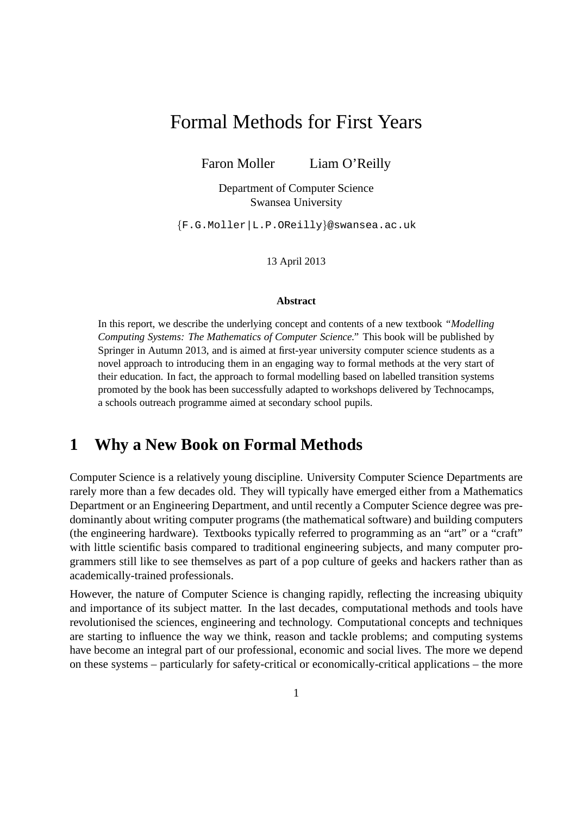# Formal Methods for First Years

Faron Moller Liam O'Reilly

Department of Computer Science Swansea University

{F.G.Moller|L.P.OReilly}@swansea.ac.uk

13 April 2013

#### **Abstract**

In this report, we describe the underlying concept and contents of a new textbook *"Modelling Computing Systems: The Mathematics of Computer Science."* This book will be published by Springer in Autumn 2013, and is aimed at first-year university computer science students as a novel approach to introducing them in an engaging way to formal methods at the very start of their education. In fact, the approach to formal modelling based on labelled transition systems promoted by the book has been successfully adapted to workshops delivered by Technocamps, a schools outreach programme aimed at secondary school pupils.

## **1 Why a New Book on Formal Methods**

Computer Science is a relatively young discipline. University Computer Science Departments are rarely more than a few decades old. They will typically have emerged either from a Mathematics Department or an Engineering Department, and until recently a Computer Science degree was predominantly about writing computer programs (the mathematical software) and building computers (the engineering hardware). Textbooks typically referred to programming as an "art" or a "craft" with little scientific basis compared to traditional engineering subjects, and many computer programmers still like to see themselves as part of a pop culture of geeks and hackers rather than as academically-trained professionals.

However, the nature of Computer Science is changing rapidly, reflecting the increasing ubiquity and importance of its subject matter. In the last decades, computational methods and tools have revolutionised the sciences, engineering and technology. Computational concepts and techniques are starting to influence the way we think, reason and tackle problems; and computing systems have become an integral part of our professional, economic and social lives. The more we depend on these systems – particularly for safety-critical or economically-critical applications – the more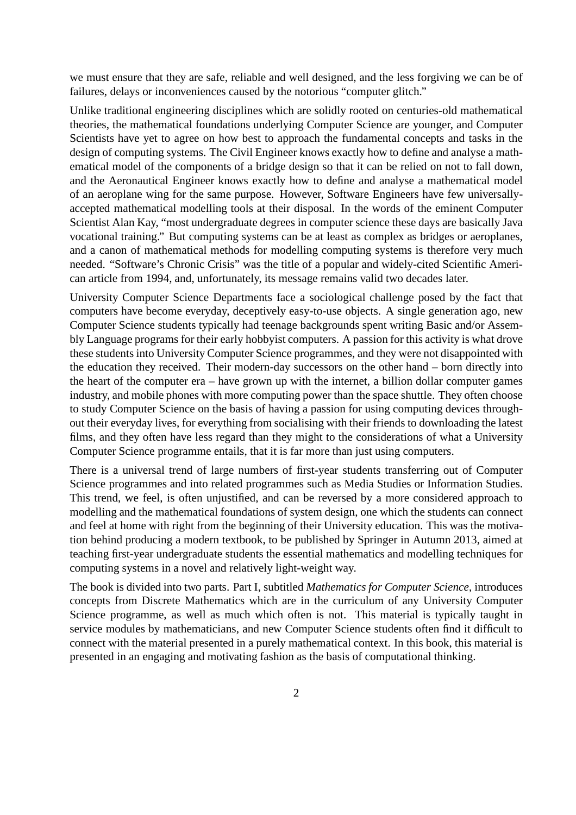we must ensure that they are safe, reliable and well designed, and the less forgiving we can be of failures, delays or inconveniences caused by the notorious "computer glitch."

Unlike traditional engineering disciplines which are solidly rooted on centuries-old mathematical theories, the mathematical foundations underlying Computer Science are younger, and Computer Scientists have yet to agree on how best to approach the fundamental concepts and tasks in the design of computing systems. The Civil Engineer knows exactly how to define and analyse a mathematical model of the components of a bridge design so that it can be relied on not to fall down, and the Aeronautical Engineer knows exactly how to define and analyse a mathematical model of an aeroplane wing for the same purpose. However, Software Engineers have few universallyaccepted mathematical modelling tools at their disposal. In the words of the eminent Computer Scientist Alan Kay, "most undergraduate degrees in computer science these days are basically Java vocational training." But computing systems can be at least as complex as bridges or aeroplanes, and a canon of mathematical methods for modelling computing systems is therefore very much needed. "Software's Chronic Crisis" was the title of a popular and widely-cited Scientific American article from 1994, and, unfortunately, its message remains valid two decades later.

University Computer Science Departments face a sociological challenge posed by the fact that computers have become everyday, deceptively easy-to-use objects. A single generation ago, new Computer Science students typically had teenage backgrounds spent writing Basic and/or Assembly Language programs for their early hobbyist computers. A passion for this activity is what drove these students into University Computer Science programmes, and they were not disappointed with the education they received. Their modern-day successors on the other hand – born directly into the heart of the computer era – have grown up with the internet, a billion dollar computer games industry, and mobile phones with more computing power than the space shuttle. They often choose to study Computer Science on the basis of having a passion for using computing devices throughout their everyday lives, for everything from socialising with their friends to downloading the latest films, and they often have less regard than they might to the considerations of what a University Computer Science programme entails, that it is far more than just using computers.

There is a universal trend of large numbers of first-year students transferring out of Computer Science programmes and into related programmes such as Media Studies or Information Studies. This trend, we feel, is often unjustified, and can be reversed by a more considered approach to modelling and the mathematical foundations of system design, one which the students can connect and feel at home with right from the beginning of their University education. This was the motivation behind producing a modern textbook, to be published by Springer in Autumn 2013, aimed at teaching first-year undergraduate students the essential mathematics and modelling techniques for computing systems in a novel and relatively light-weight way.

The book is divided into two parts. Part I, subtitled *Mathematics for Computer Science*, introduces concepts from Discrete Mathematics which are in the curriculum of any University Computer Science programme, as well as much which often is not. This material is typically taught in service modules by mathematicians, and new Computer Science students often find it difficult to connect with the material presented in a purely mathematical context. In this book, this material is presented in an engaging and motivating fashion as the basis of computational thinking.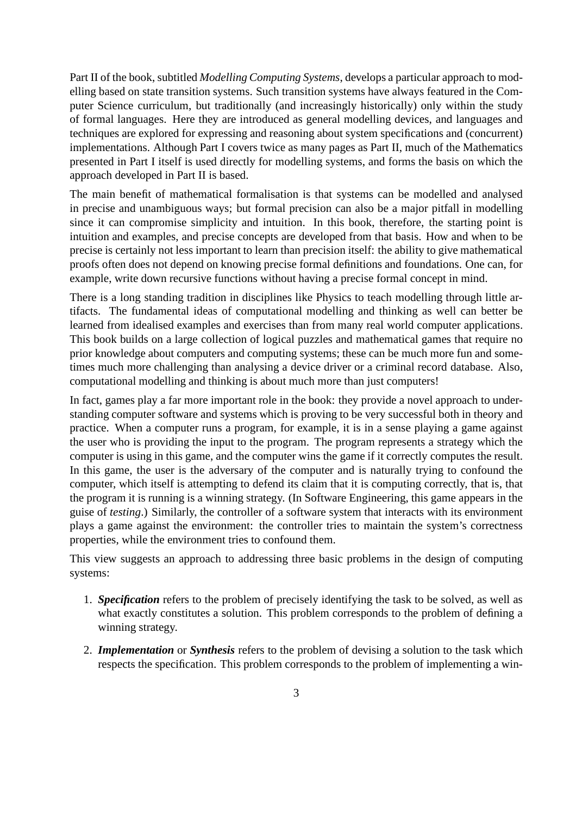Part II of the book, subtitled *Modelling Computing Systems*, develops a particular approach to modelling based on state transition systems. Such transition systems have always featured in the Computer Science curriculum, but traditionally (and increasingly historically) only within the study of formal languages. Here they are introduced as general modelling devices, and languages and techniques are explored for expressing and reasoning about system specifications and (concurrent) implementations. Although Part I covers twice as many pages as Part II, much of the Mathematics presented in Part I itself is used directly for modelling systems, and forms the basis on which the approach developed in Part II is based.

The main benefit of mathematical formalisation is that systems can be modelled and analysed in precise and unambiguous ways; but formal precision can also be a major pitfall in modelling since it can compromise simplicity and intuition. In this book, therefore, the starting point is intuition and examples, and precise concepts are developed from that basis. How and when to be precise is certainly not less important to learn than precision itself: the ability to give mathematical proofs often does not depend on knowing precise formal definitions and foundations. One can, for example, write down recursive functions without having a precise formal concept in mind.

There is a long standing tradition in disciplines like Physics to teach modelling through little artifacts. The fundamental ideas of computational modelling and thinking as well can better be learned from idealised examples and exercises than from many real world computer applications. This book builds on a large collection of logical puzzles and mathematical games that require no prior knowledge about computers and computing systems; these can be much more fun and sometimes much more challenging than analysing a device driver or a criminal record database. Also, computational modelling and thinking is about much more than just computers!

In fact, games play a far more important role in the book: they provide a novel approach to understanding computer software and systems which is proving to be very successful both in theory and practice. When a computer runs a program, for example, it is in a sense playing a game against the user who is providing the input to the program. The program represents a strategy which the computer is using in this game, and the computer wins the game if it correctly computes the result. In this game, the user is the adversary of the computer and is naturally trying to confound the computer, which itself is attempting to defend its claim that it is computing correctly, that is, that the program it is running is a winning strategy. (In Software Engineering, this game appears in the guise of *testing*.) Similarly, the controller of a software system that interacts with its environment plays a game against the environment: the controller tries to maintain the system's correctness properties, while the environment tries to confound them.

This view suggests an approach to addressing three basic problems in the design of computing systems:

- 1. *Specification* refers to the problem of precisely identifying the task to be solved, as well as what exactly constitutes a solution. This problem corresponds to the problem of defining a winning strategy.
- 2. *Implementation* or *Synthesis* refers to the problem of devising a solution to the task which respects the specification. This problem corresponds to the problem of implementing a win-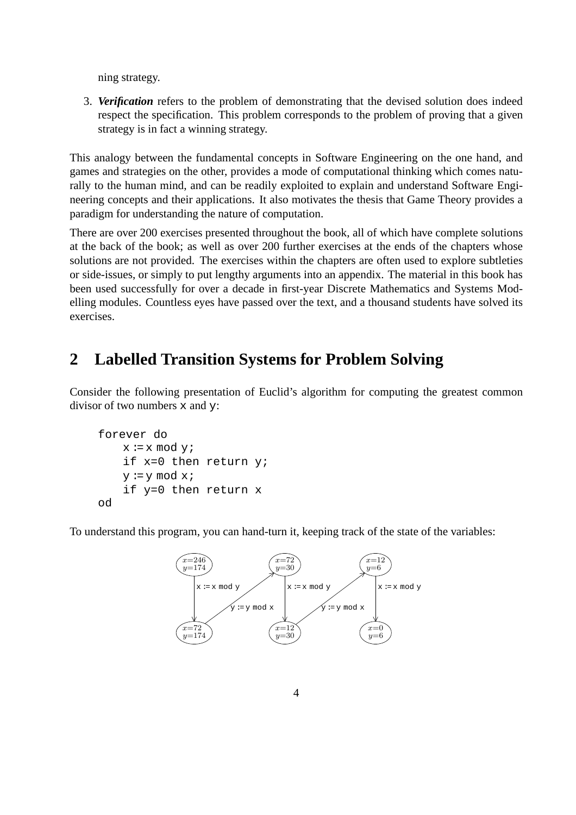ning strategy.

3. *Verification* refers to the problem of demonstrating that the devised solution does indeed respect the specification. This problem corresponds to the problem of proving that a given strategy is in fact a winning strategy.

This analogy between the fundamental concepts in Software Engineering on the one hand, and games and strategies on the other, provides a mode of computational thinking which comes naturally to the human mind, and can be readily exploited to explain and understand Software Engineering concepts and their applications. It also motivates the thesis that Game Theory provides a paradigm for understanding the nature of computation.

There are over 200 exercises presented throughout the book, all of which have complete solutions at the back of the book; as well as over 200 further exercises at the ends of the chapters whose solutions are not provided. The exercises within the chapters are often used to explore subtleties or side-issues, or simply to put lengthy arguments into an appendix. The material in this book has been used successfully for over a decade in first-year Discrete Mathematics and Systems Modelling modules. Countless eyes have passed over the text, and a thousand students have solved its exercises.

## **2 Labelled Transition Systems for Problem Solving**

Consider the following presentation of Euclid's algorithm for computing the greatest common divisor of two numbers x and y:

```
forever do
    x := x \mod yif x=0 then return y;
    y \coloneqq y \mod x;if y=0 then return x
od
```
To understand this program, you can hand-turn it, keeping track of the state of the variables:

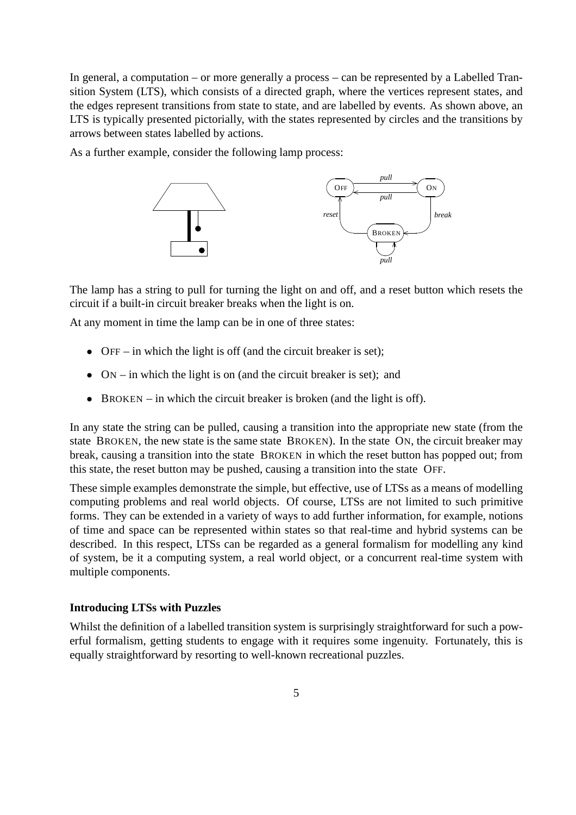In general, a computation – or more generally a process – can be represented by a Labelled Transition System (LTS), which consists of a directed graph, where the vertices represent states, and the edges represent transitions from state to state, and are labelled by events. As shown above, an LTS is typically presented pictorially, with the states represented by circles and the transitions by arrows between states labelled by actions.

As a further example, consider the following lamp process:



The lamp has a string to pull for turning the light on and off, and a reset button which resets the circuit if a built-in circuit breaker breaks when the light is on.

At any moment in time the lamp can be in one of three states:

- OFF in which the light is off (and the circuit breaker is set);
- ON in which the light is on (and the circuit breaker is set); and
- BROKEN in which the circuit breaker is broken (and the light is off).

In any state the string can be pulled, causing a transition into the appropriate new state (from the state BROKEN, the new state is the same state BROKEN). In the state ON, the circuit breaker may break, causing a transition into the state BROKEN in which the reset button has popped out; from this state, the reset button may be pushed, causing a transition into the state OFF.

These simple examples demonstrate the simple, but effective, use of LTSs as a means of modelling computing problems and real world objects. Of course, LTSs are not limited to such primitive forms. They can be extended in a variety of ways to add further information, for example, notions of time and space can be represented within states so that real-time and hybrid systems can be described. In this respect, LTSs can be regarded as a general formalism for modelling any kind of system, be it a computing system, a real world object, or a concurrent real-time system with multiple components.

#### **Introducing LTSs with Puzzles**

Whilst the definition of a labelled transition system is surprisingly straightforward for such a powerful formalism, getting students to engage with it requires some ingenuity. Fortunately, this is equally straightforward by resorting to well-known recreational puzzles.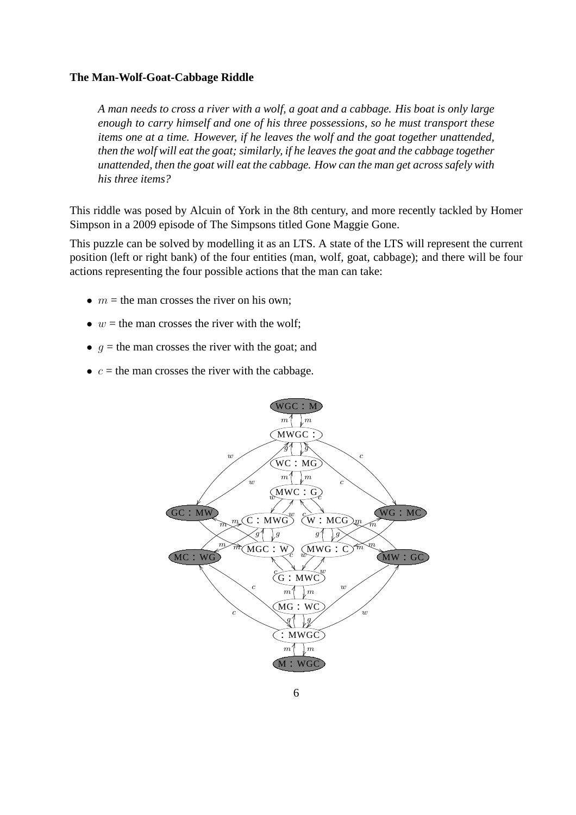#### **The Man-Wolf-Goat-Cabbage Riddle**

*A man needs to cross a river with a wolf, a goat and a cabbage. His boat is only large enough to carry himself and one of his three possessions, so he must transport these items one at a time. However, if he leaves the wolf and the goat together unattended, then the wolf will eat the goat; similarly, if he leaves the goat and the cabbage together unattended, then the goat will eat the cabbage. How can the man get across safely with his three items?*

This riddle was posed by Alcuin of York in the 8th century, and more recently tackled by Homer Simpson in a 2009 episode of The Simpsons titled Gone Maggie Gone.

This puzzle can be solved by modelling it as an LTS. A state of the LTS will represent the current position (left or right bank) of the four entities (man, wolf, goat, cabbage); and there will be four actions representing the four possible actions that the man can take:

- $m =$  the man crosses the river on his own;
- $w =$  the man crosses the river with the wolf;
- $q =$  the man crosses the river with the goat; and
- $c =$  the man crosses the river with the cabbage.

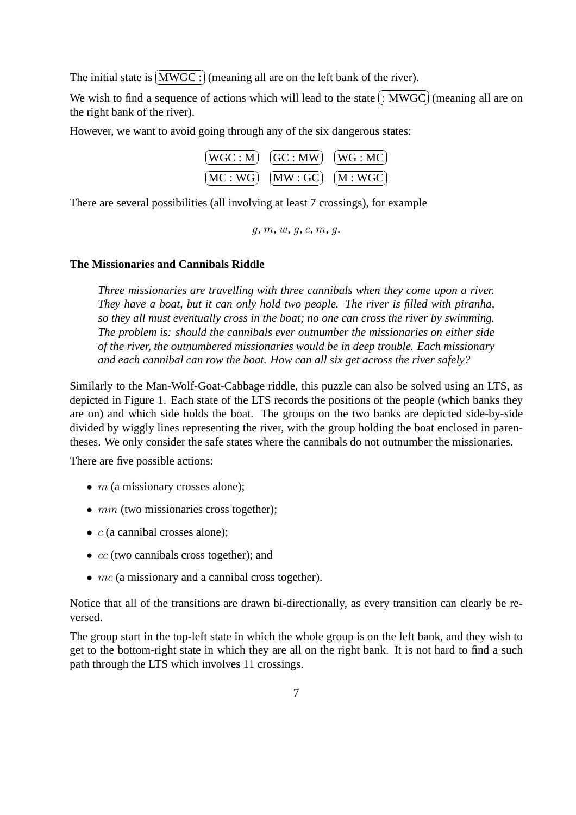The initial state is  $\left(\overline{\mathbf{N}}\right)$ ✝  $\overline{\text{MWGC}}$  : (meaning all are on the left bank of the river).

We wish to find a sequence of actions which will lead to the state  $\left(\frac{1}{1}\right)$ ✝  $\overline{\text{TMWGC}}$  (meaning all are on the right bank of the river).

However, we want to avoid going through any of the six dangerous states:

| WGC : M | (GC:MW)                                  | (WG : MC) |
|---------|------------------------------------------|-----------|
|         | $(MC:WG)$ $(MW:GC)$ $(M:\overline{WGC})$ |           |

There are several possibilities (all involving at least 7 crossings), for example

g, m, w, g, c, m, g.

#### **The Missionaries and Cannibals Riddle**

*Three missionaries are travelling with three cannibals when they come upon a river. They have a boat, but it can only hold two people. The river is filled with piranha, so they all must eventually cross in the boat; no one can cross the river by swimming. The problem is: should the cannibals ever outnumber the missionaries on either side of the river, the outnumbered missionaries would be in deep trouble. Each missionary and each cannibal can row the boat. How can all six get across the river safely?*

Similarly to the Man-Wolf-Goat-Cabbage riddle, this puzzle can also be solved using an LTS, as depicted in Figure 1. Each state of the LTS records the positions of the people (which banks they are on) and which side holds the boat. The groups on the two banks are depicted side-by-side divided by wiggly lines representing the river, with the group holding the boat enclosed in parentheses. We only consider the safe states where the cannibals do not outnumber the missionaries.

There are five possible actions:

- $m$  (a missionary crosses alone);
- $mm$  (two missionaries cross together);
- $c$  (a cannibal crosses alone);
- $\bullet$  *cc* (two cannibals cross together); and
- $mc$  (a missionary and a cannibal cross together).

Notice that all of the transitions are drawn bi-directionally, as every transition can clearly be reversed.

The group start in the top-left state in which the whole group is on the left bank, and they wish to get to the bottom-right state in which they are all on the right bank. It is not hard to find a such path through the LTS which involves 11 crossings.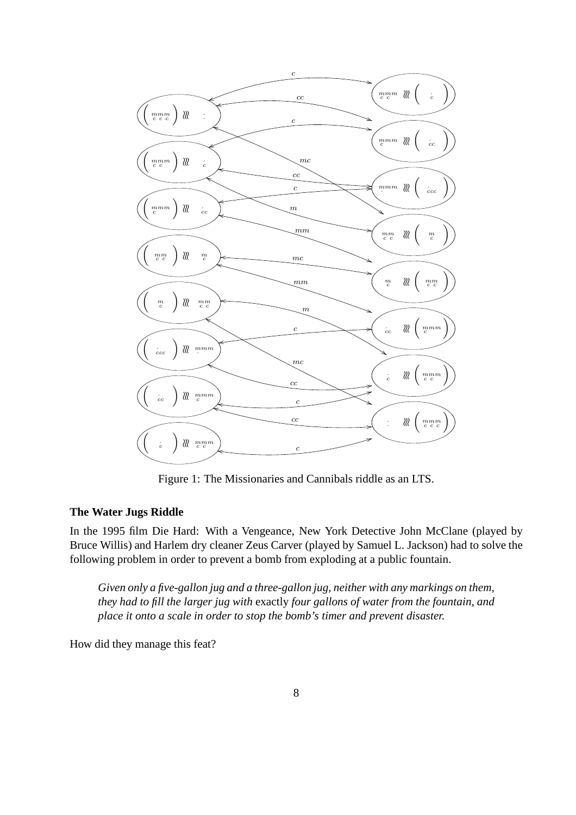

Figure 1: The Missionaries and Cannibals riddle as an LTS.

#### **The Water Jugs Riddle**

In the 1995 film Die Hard: With a Vengeance, New York Detective John McClane (played by Bruce Willis) and Harlem dry cleaner Zeus Carver (played by Samuel L. Jackson) had to solve the following problem in order to prevent a bomb from exploding at a public fountain.

*Given only a five-gallon jug and a three-gallon jug, neither with any markings on them, they had to fill the larger jug with* exactly *four gallons of water from the fountain, and place it onto a scale in order to stop the bomb's timer and prevent disaster.*

How did they manage this feat?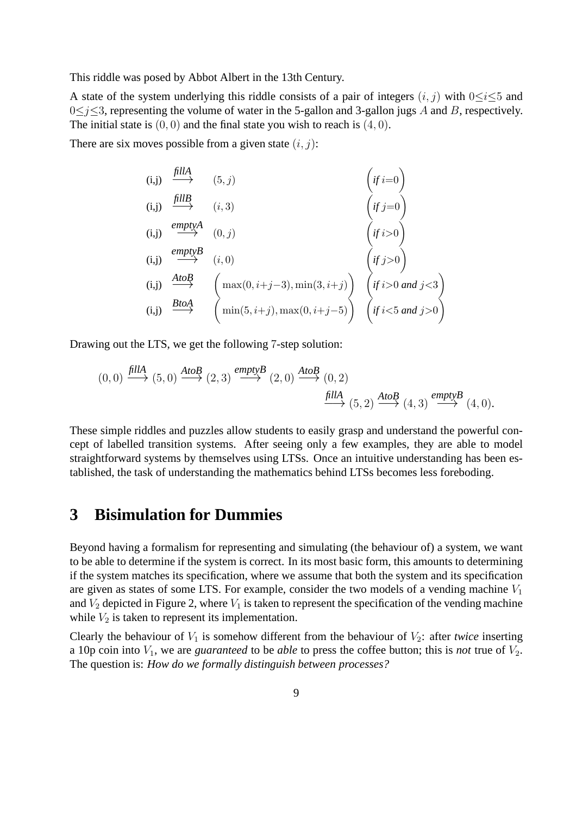This riddle was posed by Abbot Albert in the 13th Century.

A state of the system underlying this riddle consists of a pair of integers  $(i, j)$  with  $0 \le i \le 5$  and  $0 \le j \le 3$ , representing the volume of water in the 5-gallon and 3-gallon jugs A and B, respectively. The initial state is  $(0, 0)$  and the final state you wish to reach is  $(4, 0)$ .

There are six moves possible from a given state  $(i, j)$ :

(i,j) 
$$
\xrightarrow{fillA}
$$
 (5, j)  
\n(i,j)  $\xrightarrow{fillB}$  (i, 3)  
\n(i,j)  $\xrightarrow{emptyA}$  (0, j)  
\n(i,j)  $\xrightarrow{emptyB}$  (i, 0)  
\n(i,j)  $\xrightarrow{suptyB}$  (i, 0)  
\n(i,j)  $\xrightarrow{AtoB}$   $\left(\max(0, i+j-3), \min(3, i+j)\right)$   $\left(\text{if } i > 0\right)$   
\n(i,j)  $\xrightarrow{BtoA}$   $\left(\max(0, i+j-3), \min(3, i+j)\right)$   $\left(\text{if } i > 0 \text{ and } j < 3\right)$   
\n(i,j)  $\xrightarrow{BtoA}$   $\left(\min(5, i+j), \max(0, i+j-5)\right)$   $\left(\text{if } i < 5 \text{ and } j > 0\right)$ 

Drawing out the LTS, we get the following 7-step solution:

$$
(0,0) \xrightarrow{fillA} (5,0) \xrightarrow{AtoB} (2,3) \xrightarrow{emptyB} (2,0) \xrightarrow{AtoB} (0,2)
$$
  

$$
\xrightarrow{fillA} (5,2) \xrightarrow{AtoB} (4,3) \xrightarrow{emptyB} (4,0).
$$

These simple riddles and puzzles allow students to easily grasp and understand the powerful concept of labelled transition systems. After seeing only a few examples, they are able to model straightforward systems by themselves using LTSs. Once an intuitive understanding has been established, the task of understanding the mathematics behind LTSs becomes less foreboding.

## **3 Bisimulation for Dummies**

Beyond having a formalism for representing and simulating (the behaviour of) a system, we want to be able to determine if the system is correct. In its most basic form, this amounts to determining if the system matches its specification, where we assume that both the system and its specification are given as states of some LTS. For example, consider the two models of a vending machine  $V_1$ and  $V_2$  depicted in Figure 2, where  $V_1$  is taken to represent the specification of the vending machine while  $V_2$  is taken to represent its implementation.

Clearly the behaviour of  $V_1$  is somehow different from the behaviour of  $V_2$ : after *twice* inserting a 10p coin into  $V_1$ , we are *guaranteed* to be *able* to press the coffee button; this is *not* true of  $V_2$ . The question is: *How do we formally distinguish between processes?*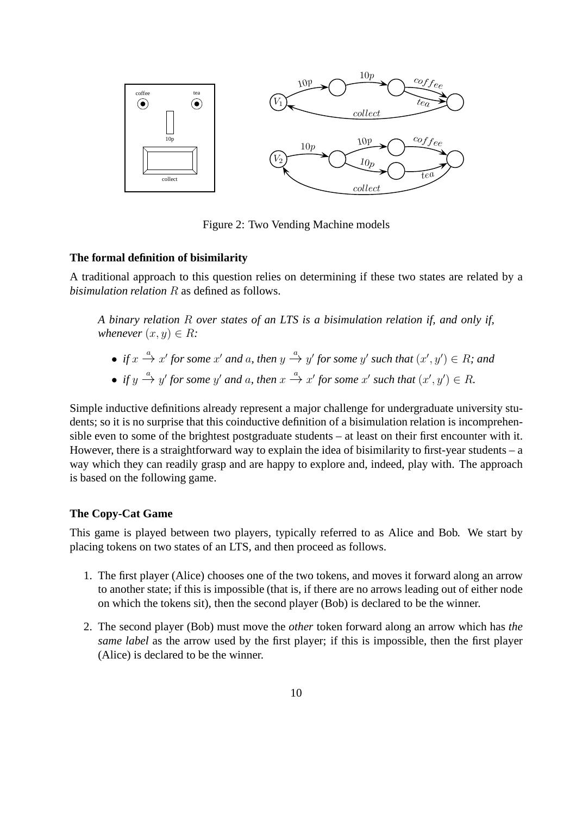

Figure 2: Two Vending Machine models

#### **The formal definition of bisimilarity**

A traditional approach to this question relies on determining if these two states are related by a *bisimulation relation* R as defined as follows.

*A binary relation* R *over states of an LTS is a bisimulation relation if, and only if, whenever*  $(x, y) \in R$ *:* 

- *if*  $x \stackrel{a}{\rightarrow} x'$  for some  $x'$  and a, then  $y \stackrel{a}{\rightarrow} y'$  for some  $y'$  such that  $(x', y') \in R$ ; and
- *if*  $y \stackrel{a}{\rightarrow} y'$  for some y' and a, then  $x \stackrel{a}{\rightarrow} x'$  for some  $x'$  such that  $(x', y') \in R$ .

Simple inductive definitions already represent a major challenge for undergraduate university students; so it is no surprise that this coinductive definition of a bisimulation relation is incomprehensible even to some of the brightest postgraduate students – at least on their first encounter with it. However, there is a straightforward way to explain the idea of bisimilarity to first-year students – a way which they can readily grasp and are happy to explore and, indeed, play with. The approach is based on the following game.

#### **The Copy-Cat Game**

This game is played between two players, typically referred to as Alice and Bob. We start by placing tokens on two states of an LTS, and then proceed as follows.

- 1. The first player (Alice) chooses one of the two tokens, and moves it forward along an arrow to another state; if this is impossible (that is, if there are no arrows leading out of either node on which the tokens sit), then the second player (Bob) is declared to be the winner.
- 2. The second player (Bob) must move the *other* token forward along an arrow which has *the same label* as the arrow used by the first player; if this is impossible, then the first player (Alice) is declared to be the winner.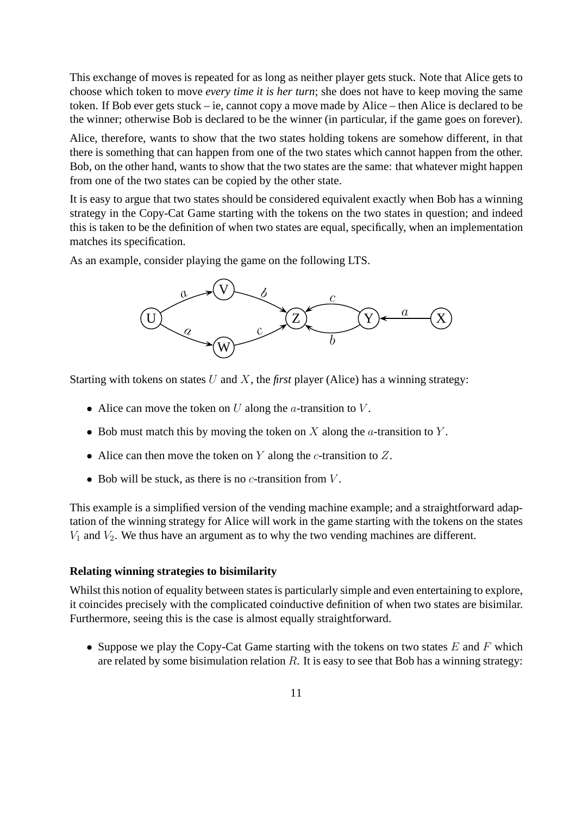This exchange of moves is repeated for as long as neither player gets stuck. Note that Alice gets to choose which token to move *every time it is her turn*; she does not have to keep moving the same token. If Bob ever gets stuck – ie, cannot copy a move made by Alice – then Alice is declared to be the winner; otherwise Bob is declared to be the winner (in particular, if the game goes on forever).

Alice, therefore, wants to show that the two states holding tokens are somehow different, in that there is something that can happen from one of the two states which cannot happen from the other. Bob, on the other hand, wants to show that the two states are the same: that whatever might happen from one of the two states can be copied by the other state.

It is easy to argue that two states should be considered equivalent exactly when Bob has a winning strategy in the Copy-Cat Game starting with the tokens on the two states in question; and indeed this is taken to be the definition of when two states are equal, specifically, when an implementation matches its specification.

As an example, consider playing the game on the following LTS.



Starting with tokens on states  $U$  and  $X$ , the *first* player (Alice) has a winning strategy:

- Alice can move the token on  $U$  along the *a*-transition to  $V$ .
- Bob must match this by moving the token on X along the a-transition to Y.
- Alice can then move the token on Y along the  $c$ -transition to Z.
- Bob will be stuck, as there is no  $c$ -transition from  $V$ .

This example is a simplified version of the vending machine example; and a straightforward adaptation of the winning strategy for Alice will work in the game starting with the tokens on the states  $V_1$  and  $V_2$ . We thus have an argument as to why the two vending machines are different.

#### **Relating winning strategies to bisimilarity**

Whilst this notion of equality between states is particularly simple and even entertaining to explore, it coincides precisely with the complicated coinductive definition of when two states are bisimilar. Furthermore, seeing this is the case is almost equally straightforward.

• Suppose we play the Copy-Cat Game starting with the tokens on two states  $E$  and  $F$  which are related by some bisimulation relation  $R$ . It is easy to see that Bob has a winning strategy: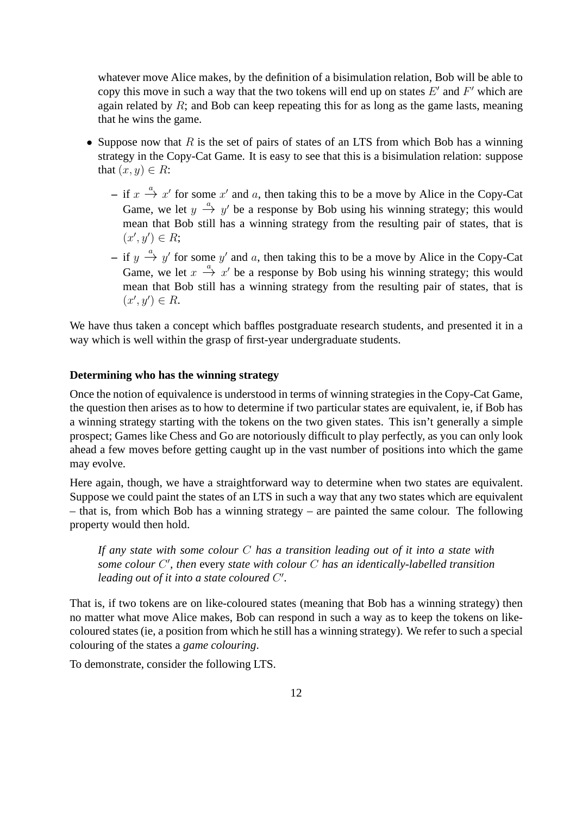whatever move Alice makes, by the definition of a bisimulation relation, Bob will be able to copy this move in such a way that the two tokens will end up on states  $E'$  and  $F'$  which are again related by  $R$ ; and Bob can keep repeating this for as long as the game lasts, meaning that he wins the game.

- Suppose now that  $R$  is the set of pairs of states of an LTS from which Bob has a winning strategy in the Copy-Cat Game. It is easy to see that this is a bisimulation relation: suppose that  $(x, y) \in R$ :
	- $-$  if  $x \stackrel{a}{\rightarrow} x'$  for some  $x'$  and  $a$ , then taking this to be a move by Alice in the Copy-Cat Game, we let  $y \stackrel{a}{\rightarrow} y'$  be a response by Bob using his winning strategy; this would mean that Bob still has a winning strategy from the resulting pair of states, that is  $(x', y') \in R;$
	- $-$  if  $y \stackrel{a}{\rightarrow} y'$  for some y' and a, then taking this to be a move by Alice in the Copy-Cat Game, we let  $x \stackrel{a}{\rightarrow} x'$  be a response by Bob using his winning strategy; this would mean that Bob still has a winning strategy from the resulting pair of states, that is  $(x', y') \in R$ .

We have thus taken a concept which baffles postgraduate research students, and presented it in a way which is well within the grasp of first-year undergraduate students.

#### **Determining who has the winning strategy**

Once the notion of equivalence is understood in terms of winning strategies in the Copy-Cat Game, the question then arises as to how to determine if two particular states are equivalent, ie, if Bob has a winning strategy starting with the tokens on the two given states. This isn't generally a simple prospect; Games like Chess and Go are notoriously difficult to play perfectly, as you can only look ahead a few moves before getting caught up in the vast number of positions into which the game may evolve.

Here again, though, we have a straightforward way to determine when two states are equivalent. Suppose we could paint the states of an LTS in such a way that any two states which are equivalent – that is, from which Bob has a winning strategy – are painted the same colour. The following property would then hold.

*If any state with some colour* C *has a transition leading out of it into a state with some colour* C ′ *, then* every *state with colour* C *has an identically-labelled transition leading out of it into a state coloured* C ′ *.*

That is, if two tokens are on like-coloured states (meaning that Bob has a winning strategy) then no matter what move Alice makes, Bob can respond in such a way as to keep the tokens on likecoloured states (ie, a position from which he still has a winning strategy). We refer to such a special colouring of the states a *game colouring*.

To demonstrate, consider the following LTS.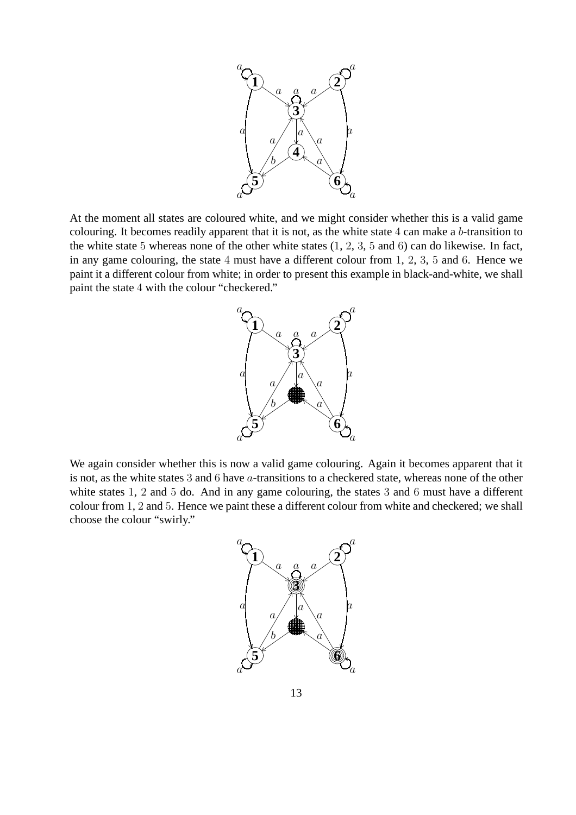

At the moment all states are coloured white, and we might consider whether this is a valid game colouring. It becomes readily apparent that it is not, as the white state 4 can make a b-transition to the white state 5 whereas none of the other white states (1, 2, 3, 5 and 6) can do likewise. In fact, in any game colouring, the state 4 must have a different colour from 1, 2, 3, 5 and 6. Hence we paint it a different colour from white; in order to present this example in black-and-white, we shall paint the state 4 with the colour "checkered."



We again consider whether this is now a valid game colouring. Again it becomes apparent that it is not, as the white states 3 and 6 have a-transitions to a checkered state, whereas none of the other white states 1, 2 and 5 do. And in any game colouring, the states 3 and 6 must have a different colour from 1, 2 and 5. Hence we paint these a different colour from white and checkered; we shall choose the colour "swirly."

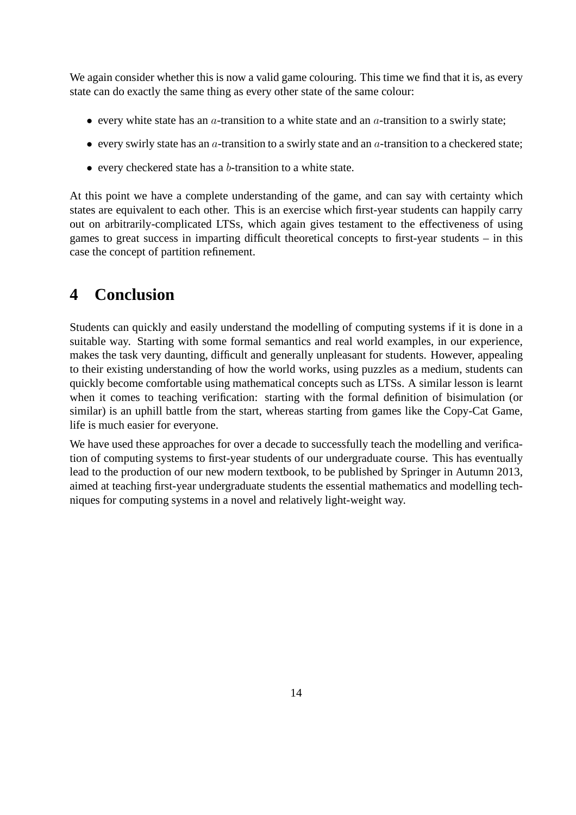We again consider whether this is now a valid game colouring. This time we find that it is, as every state can do exactly the same thing as every other state of the same colour:

- every white state has an  $a$ -transition to a white state and an  $a$ -transition to a swirly state;
- every swirly state has an  $a$ -transition to a swirly state and an  $a$ -transition to a checkered state;
- every checkered state has a b-transition to a white state.

At this point we have a complete understanding of the game, and can say with certainty which states are equivalent to each other. This is an exercise which first-year students can happily carry out on arbitrarily-complicated LTSs, which again gives testament to the effectiveness of using games to great success in imparting difficult theoretical concepts to first-year students – in this case the concept of partition refinement.

# **4 Conclusion**

Students can quickly and easily understand the modelling of computing systems if it is done in a suitable way. Starting with some formal semantics and real world examples, in our experience, makes the task very daunting, difficult and generally unpleasant for students. However, appealing to their existing understanding of how the world works, using puzzles as a medium, students can quickly become comfortable using mathematical concepts such as LTSs. A similar lesson is learnt when it comes to teaching verification: starting with the formal definition of bisimulation (or similar) is an uphill battle from the start, whereas starting from games like the Copy-Cat Game, life is much easier for everyone.

We have used these approaches for over a decade to successfully teach the modelling and verification of computing systems to first-year students of our undergraduate course. This has eventually lead to the production of our new modern textbook, to be published by Springer in Autumn 2013, aimed at teaching first-year undergraduate students the essential mathematics and modelling techniques for computing systems in a novel and relatively light-weight way.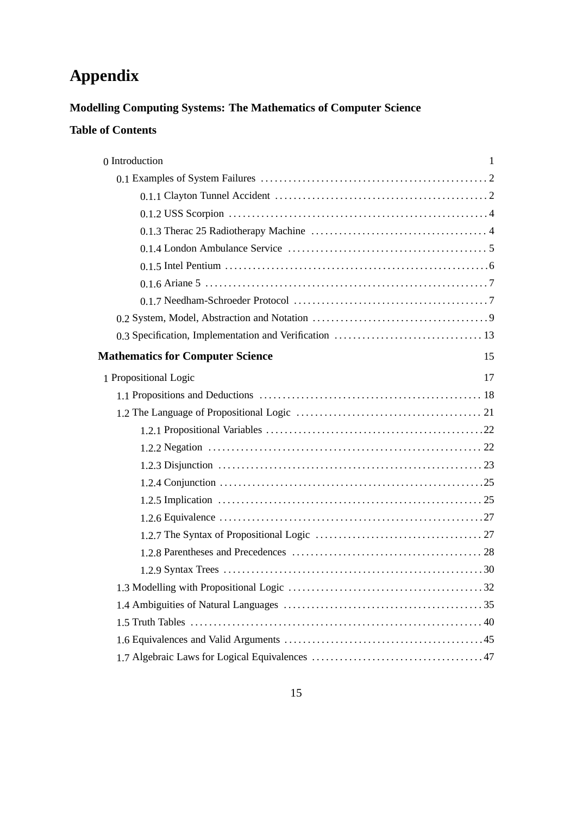# **Appendix**

## **Modelling Computing Systems: The Mathematics of Computer Science**

### **Table of Contents**

| 0 Introduction                          | 1  |
|-----------------------------------------|----|
|                                         |    |
|                                         |    |
|                                         |    |
|                                         |    |
|                                         |    |
|                                         |    |
|                                         |    |
|                                         |    |
|                                         |    |
|                                         |    |
| <b>Mathematics for Computer Science</b> | 15 |
| 1 Propositional Logic                   | 17 |
|                                         |    |
|                                         |    |
|                                         |    |
|                                         |    |
|                                         |    |
|                                         |    |
|                                         |    |
|                                         |    |
|                                         |    |
|                                         |    |
|                                         |    |
|                                         |    |
|                                         |    |
|                                         |    |
|                                         |    |
|                                         |    |
|                                         |    |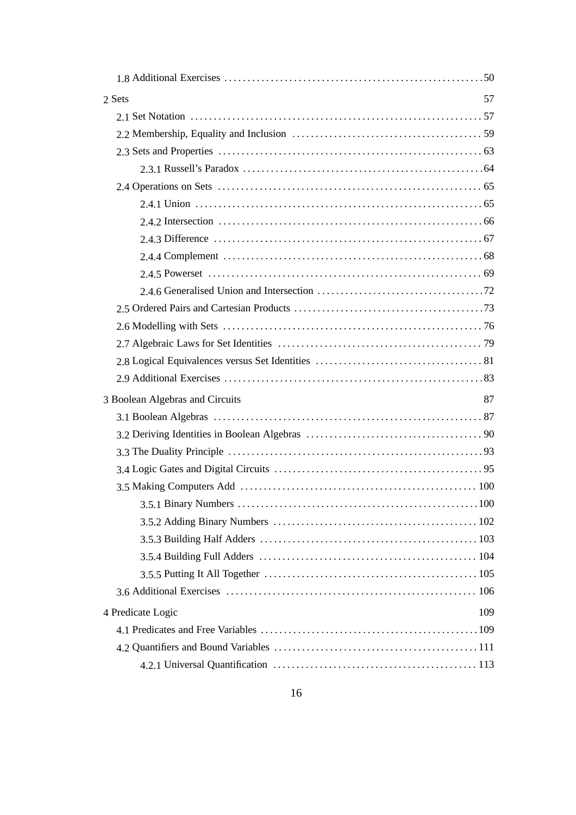| 2 Sets                          | 57                  |
|---------------------------------|---------------------|
|                                 |                     |
|                                 |                     |
|                                 |                     |
|                                 |                     |
|                                 |                     |
|                                 |                     |
|                                 |                     |
|                                 |                     |
|                                 |                     |
|                                 |                     |
|                                 |                     |
|                                 |                     |
|                                 |                     |
|                                 |                     |
|                                 |                     |
|                                 |                     |
| 3 Boolean Algebras and Circuits | 87                  |
|                                 |                     |
|                                 |                     |
|                                 |                     |
|                                 |                     |
|                                 |                     |
|                                 | $\ldots \ldots 100$ |
|                                 |                     |
|                                 |                     |
|                                 |                     |
|                                 |                     |
|                                 |                     |
| 4 Predicate Logic               | 109                 |
|                                 |                     |
|                                 |                     |
|                                 |                     |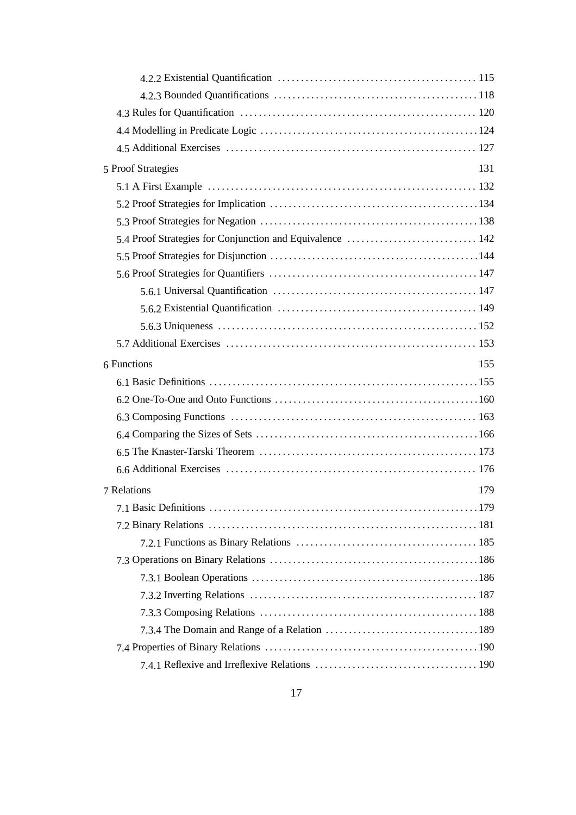| 5 Proof Strategies | 131 |
|--------------------|-----|
|                    |     |
|                    |     |
|                    |     |
|                    |     |
|                    |     |
|                    |     |
|                    |     |
|                    |     |
|                    |     |
|                    |     |
| 6 Functions        | 155 |
|                    |     |
|                    |     |
|                    |     |
|                    |     |
|                    |     |
|                    |     |
| 7 Relations        | 179 |
|                    |     |
|                    |     |
|                    |     |
|                    |     |
|                    |     |
|                    |     |
|                    |     |
|                    |     |
|                    |     |
|                    |     |
|                    |     |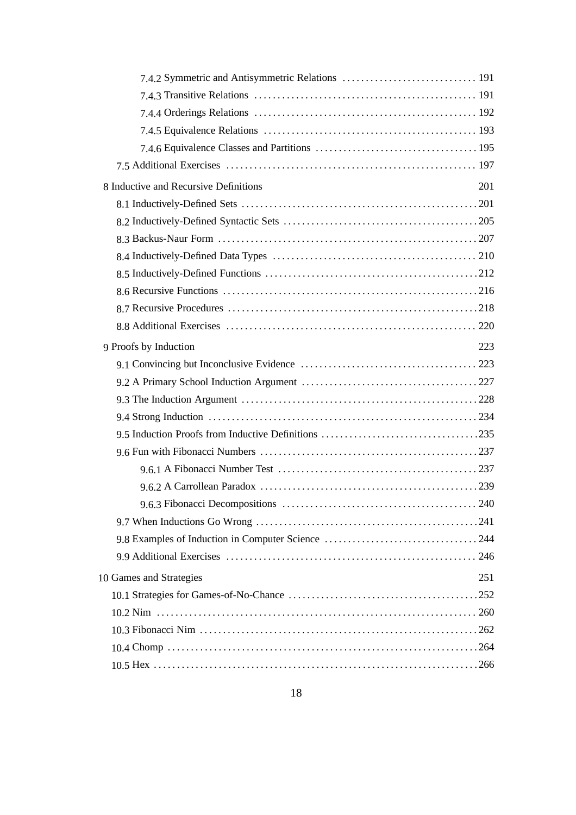| 8 Inductive and Recursive Definitions | 201 |
|---------------------------------------|-----|
|                                       |     |
|                                       |     |
|                                       |     |
|                                       |     |
|                                       |     |
|                                       |     |
|                                       |     |
|                                       |     |
| 9 Proofs by Induction                 | 223 |
|                                       |     |
|                                       |     |
|                                       |     |
|                                       |     |
|                                       |     |
|                                       |     |
|                                       |     |
|                                       |     |
|                                       |     |
|                                       |     |
|                                       |     |
|                                       |     |
| 10 Games and Strategies               | 251 |
|                                       |     |
|                                       |     |
|                                       |     |
|                                       |     |
|                                       |     |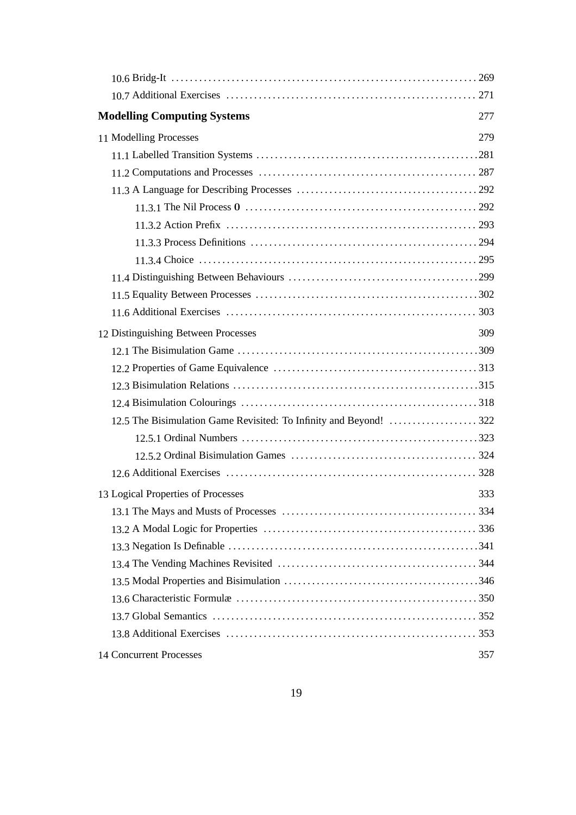| <b>Modelling Computing Systems</b>  | 277 |
|-------------------------------------|-----|
| 11 Modelling Processes              | 279 |
|                                     |     |
|                                     |     |
|                                     |     |
|                                     |     |
|                                     |     |
|                                     |     |
|                                     |     |
|                                     |     |
|                                     |     |
|                                     |     |
| 12 Distinguishing Between Processes | 309 |
|                                     |     |
|                                     |     |
|                                     |     |
|                                     |     |
|                                     |     |
|                                     |     |
|                                     |     |
|                                     |     |
| 13 Logical Properties of Processes  | 333 |
|                                     |     |
|                                     |     |
|                                     |     |
|                                     |     |
|                                     |     |
|                                     |     |
|                                     |     |
|                                     |     |
| 14 Concurrent Processes             | 357 |